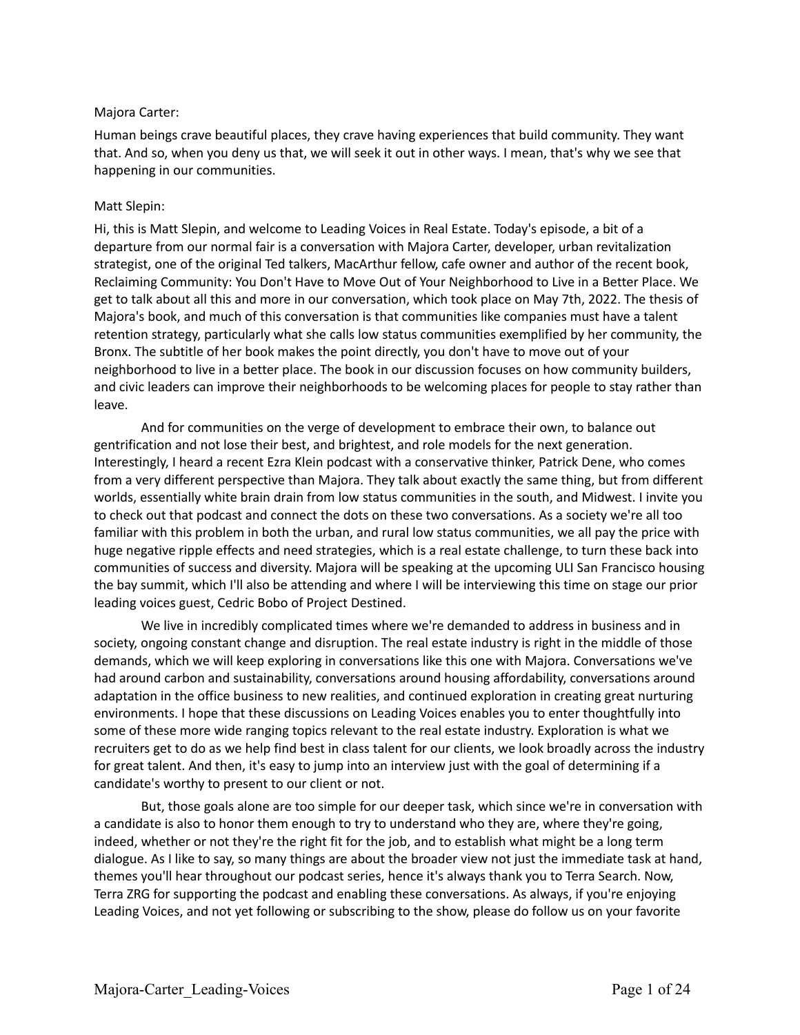## Majora Carter:

Human beings crave beautiful places, they crave having experiences that build community. They want that. And so, when you deny us that, we will seek it out in other ways. I mean, that's why we see that happening in our communities.

### Matt Slepin:

Hi, this is Matt Slepin, and welcome to Leading Voices in Real Estate. Today's episode, a bit of a departure from our normal fair is a conversation with Majora Carter, developer, urban revitalization strategist, one of the original Ted talkers, MacArthur fellow, cafe owner and author of the recent book, Reclaiming Community: You Don't Have to Move Out of Your Neighborhood to Live in a Better Place. We get to talk about all this and more in our conversation, which took place on May 7th, 2022. The thesis of Majora's book, and much of this conversation is that communities like companies must have a talent retention strategy, particularly what she calls low status communities exemplified by her community, the Bronx. The subtitle of her book makes the point directly, you don't have to move out of your neighborhood to live in a better place. The book in our discussion focuses on how community builders, and civic leaders can improve their neighborhoods to be welcoming places for people to stay rather than leave.

And for communities on the verge of development to embrace their own, to balance out gentrification and not lose their best, and brightest, and role models for the next generation. Interestingly, I heard a recent Ezra Klein podcast with a conservative thinker, Patrick Dene, who comes from a very different perspective than Majora. They talk about exactly the same thing, but from different worlds, essentially white brain drain from low status communities in the south, and Midwest. I invite you to check out that podcast and connect the dots on these two conversations. As a society we're all too familiar with this problem in both the urban, and rural low status communities, we all pay the price with huge negative ripple effects and need strategies, which is a real estate challenge, to turn these back into communities of success and diversity. Majora will be speaking at the upcoming ULI San Francisco housing the bay summit, which I'll also be attending and where I will be interviewing this time on stage our prior leading voices guest, Cedric Bobo of Project Destined.

We live in incredibly complicated times where we're demanded to address in business and in society, ongoing constant change and disruption. The real estate industry is right in the middle of those demands, which we will keep exploring in conversations like this one with Majora. Conversations we've had around carbon and sustainability, conversations around housing affordability, conversations around adaptation in the office business to new realities, and continued exploration in creating great nurturing environments. I hope that these discussions on Leading Voices enables you to enter thoughtfully into some of these more wide ranging topics relevant to the real estate industry. Exploration is what we recruiters get to do as we help find best in class talent for our clients, we look broadly across the industry for great talent. And then, it's easy to jump into an interview just with the goal of determining if a candidate's worthy to present to our client or not.

But, those goals alone are too simple for our deeper task, which since we're in conversation with a candidate is also to honor them enough to try to understand who they are, where they're going, indeed, whether or not they're the right fit for the job, and to establish what might be a long term dialogue. As I like to say, so many things are about the broader view not just the immediate task at hand, themes you'll hear throughout our podcast series, hence it's always thank you to Terra Search. Now, Terra ZRG for supporting the podcast and enabling these conversations. As always, if you're enjoying Leading Voices, and not yet following or subscribing to the show, please do follow us on your favorite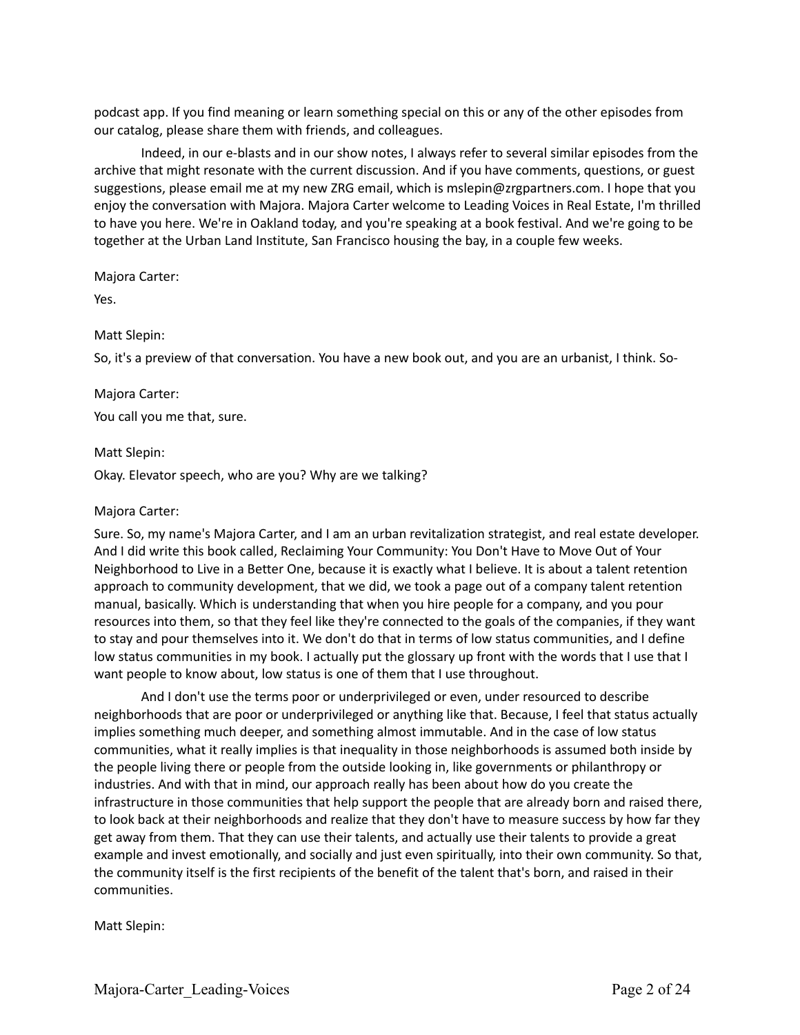podcast app. If you find meaning or learn something special on this or any of the other episodes from our catalog, please share them with friends, and colleagues.

Indeed, in our e-blasts and in our show notes, I always refer to several similar episodes from the archive that might resonate with the current discussion. And if you have comments, questions, or guest suggestions, please email me at my new ZRG email, which is mslepin@zrgpartners.com. I hope that you enjoy the conversation with Majora. Majora Carter welcome to Leading Voices in Real Estate, I'm thrilled to have you here. We're in Oakland today, and you're speaking at a book festival. And we're going to be together at the Urban Land Institute, San Francisco housing the bay, in a couple few weeks.

Majora Carter:

Yes.

### Matt Slepin:

So, it's a preview of that conversation. You have a new book out, and you are an urbanist, I think. So-

#### Majora Carter:

You call you me that, sure.

#### Matt Slepin:

Okay. Elevator speech, who are you? Why are we talking?

#### Majora Carter:

Sure. So, my name's Majora Carter, and I am an urban revitalization strategist, and real estate developer. And I did write this book called, Reclaiming Your Community: You Don't Have to Move Out of Your Neighborhood to Live in a Better One, because it is exactly what I believe. It is about a talent retention approach to community development, that we did, we took a page out of a company talent retention manual, basically. Which is understanding that when you hire people for a company, and you pour resources into them, so that they feel like they're connected to the goals of the companies, if they want to stay and pour themselves into it. We don't do that in terms of low status communities, and I define low status communities in my book. I actually put the glossary up front with the words that I use that I want people to know about, low status is one of them that I use throughout.

And I don't use the terms poor or underprivileged or even, under resourced to describe neighborhoods that are poor or underprivileged or anything like that. Because, I feel that status actually implies something much deeper, and something almost immutable. And in the case of low status communities, what it really implies is that inequality in those neighborhoods is assumed both inside by the people living there or people from the outside looking in, like governments or philanthropy or industries. And with that in mind, our approach really has been about how do you create the infrastructure in those communities that help support the people that are already born and raised there, to look back at their neighborhoods and realize that they don't have to measure success by how far they get away from them. That they can use their talents, and actually use their talents to provide a great example and invest emotionally, and socially and just even spiritually, into their own community. So that, the community itself is the first recipients of the benefit of the talent that's born, and raised in their communities.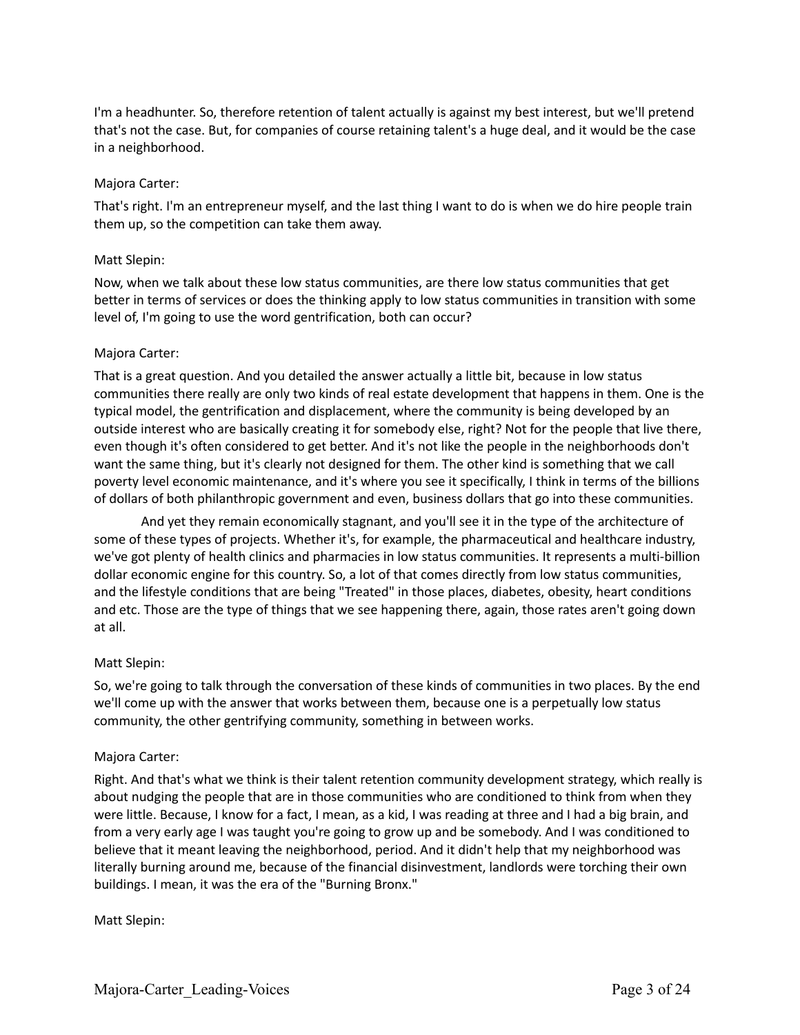I'm a headhunter. So, therefore retention of talent actually is against my best interest, but we'll pretend that's not the case. But, for companies of course retaining talent's a huge deal, and it would be the case in a neighborhood.

### Majora Carter:

That's right. I'm an entrepreneur myself, and the last thing I want to do is when we do hire people train them up, so the competition can take them away.

### Matt Slepin:

Now, when we talk about these low status communities, are there low status communities that get better in terms of services or does the thinking apply to low status communities in transition with some level of, I'm going to use the word gentrification, both can occur?

### Majora Carter:

That is a great question. And you detailed the answer actually a little bit, because in low status communities there really are only two kinds of real estate development that happens in them. One is the typical model, the gentrification and displacement, where the community is being developed by an outside interest who are basically creating it for somebody else, right? Not for the people that live there, even though it's often considered to get better. And it's not like the people in the neighborhoods don't want the same thing, but it's clearly not designed for them. The other kind is something that we call poverty level economic maintenance, and it's where you see it specifically, I think in terms of the billions of dollars of both philanthropic government and even, business dollars that go into these communities.

And yet they remain economically stagnant, and you'll see it in the type of the architecture of some of these types of projects. Whether it's, for example, the pharmaceutical and healthcare industry, we've got plenty of health clinics and pharmacies in low status communities. It represents a multi-billion dollar economic engine for this country. So, a lot of that comes directly from low status communities, and the lifestyle conditions that are being "Treated" in those places, diabetes, obesity, heart conditions and etc. Those are the type of things that we see happening there, again, those rates aren't going down at all.

### Matt Slepin:

So, we're going to talk through the conversation of these kinds of communities in two places. By the end we'll come up with the answer that works between them, because one is a perpetually low status community, the other gentrifying community, something in between works.

## Majora Carter:

Right. And that's what we think is their talent retention community development strategy, which really is about nudging the people that are in those communities who are conditioned to think from when they were little. Because, I know for a fact, I mean, as a kid, I was reading at three and I had a big brain, and from a very early age I was taught you're going to grow up and be somebody. And I was conditioned to believe that it meant leaving the neighborhood, period. And it didn't help that my neighborhood was literally burning around me, because of the financial disinvestment, landlords were torching their own buildings. I mean, it was the era of the "Burning Bronx."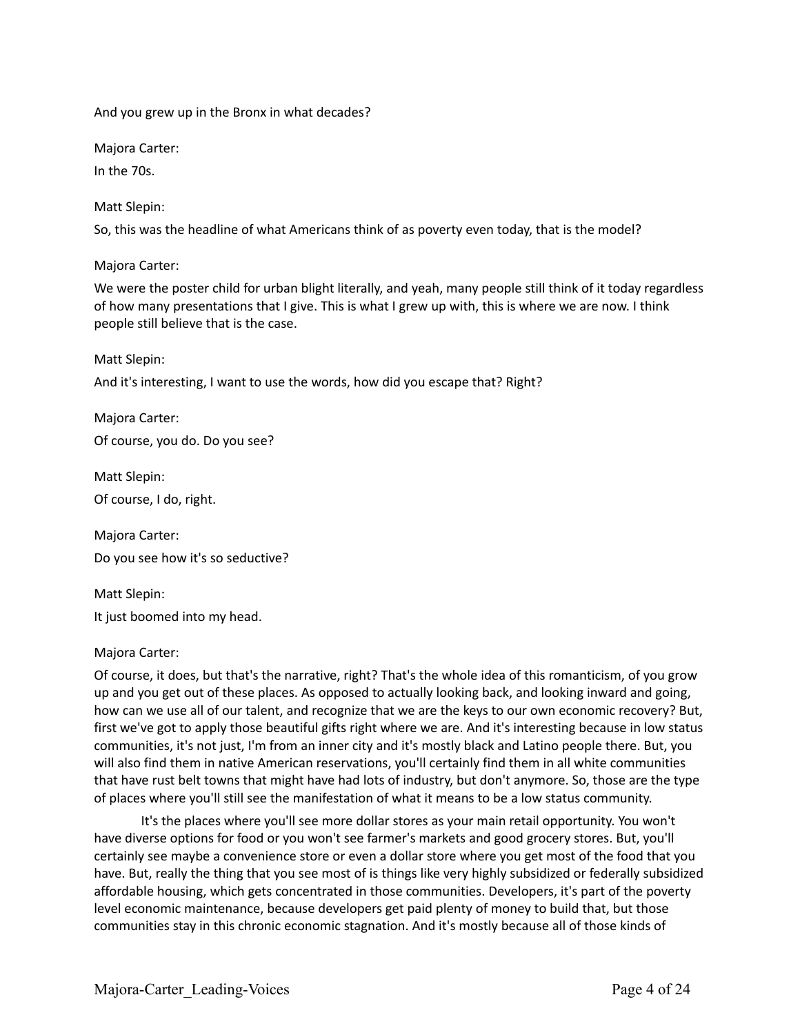And you grew up in the Bronx in what decades?

Majora Carter:

In the 70s.

Matt Slepin:

So, this was the headline of what Americans think of as poverty even today, that is the model?

Majora Carter:

We were the poster child for urban blight literally, and yeah, many people still think of it today regardless of how many presentations that I give. This is what I grew up with, this is where we are now. I think people still believe that is the case.

Matt Slepin:

And it's interesting, I want to use the words, how did you escape that? Right?

Majora Carter: Of course, you do. Do you see?

Matt Slepin: Of course, I do, right.

Majora Carter: Do you see how it's so seductive?

Matt Slepin: It just boomed into my head.

## Majora Carter:

Of course, it does, but that's the narrative, right? That's the whole idea of this romanticism, of you grow up and you get out of these places. As opposed to actually looking back, and looking inward and going, how can we use all of our talent, and recognize that we are the keys to our own economic recovery? But, first we've got to apply those beautiful gifts right where we are. And it's interesting because in low status communities, it's not just, I'm from an inner city and it's mostly black and Latino people there. But, you will also find them in native American reservations, you'll certainly find them in all white communities that have rust belt towns that might have had lots of industry, but don't anymore. So, those are the type of places where you'll still see the manifestation of what it means to be a low status community.

It's the places where you'll see more dollar stores as your main retail opportunity. You won't have diverse options for food or you won't see farmer's markets and good grocery stores. But, you'll certainly see maybe a convenience store or even a dollar store where you get most of the food that you have. But, really the thing that you see most of is things like very highly subsidized or federally subsidized affordable housing, which gets concentrated in those communities. Developers, it's part of the poverty level economic maintenance, because developers get paid plenty of money to build that, but those communities stay in this chronic economic stagnation. And it's mostly because all of those kinds of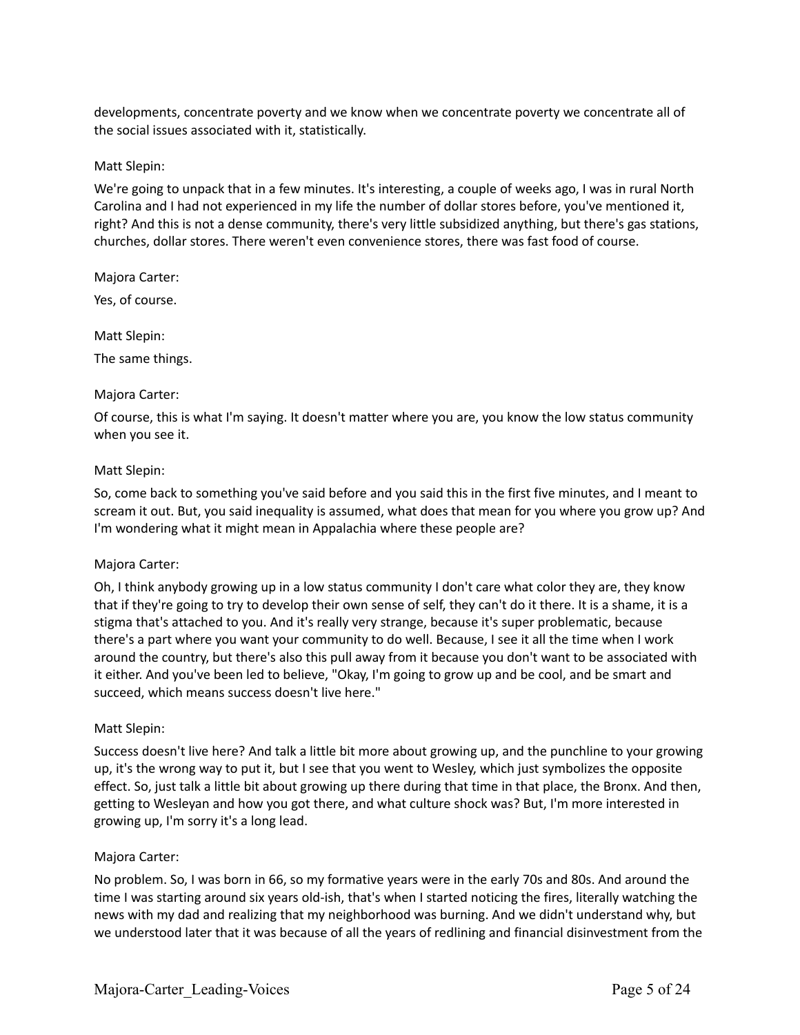developments, concentrate poverty and we know when we concentrate poverty we concentrate all of the social issues associated with it, statistically.

### Matt Slepin:

We're going to unpack that in a few minutes. It's interesting, a couple of weeks ago, I was in rural North Carolina and I had not experienced in my life the number of dollar stores before, you've mentioned it, right? And this is not a dense community, there's very little subsidized anything, but there's gas stations, churches, dollar stores. There weren't even convenience stores, there was fast food of course.

Majora Carter:

Yes, of course.

Matt Slepin:

The same things.

### Majora Carter:

Of course, this is what I'm saying. It doesn't matter where you are, you know the low status community when you see it.

### Matt Slepin:

So, come back to something you've said before and you said this in the first five minutes, and I meant to scream it out. But, you said inequality is assumed, what does that mean for you where you grow up? And I'm wondering what it might mean in Appalachia where these people are?

## Majora Carter:

Oh, I think anybody growing up in a low status community I don't care what color they are, they know that if they're going to try to develop their own sense of self, they can't do it there. It is a shame, it is a stigma that's attached to you. And it's really very strange, because it's super problematic, because there's a part where you want your community to do well. Because, I see it all the time when I work around the country, but there's also this pull away from it because you don't want to be associated with it either. And you've been led to believe, "Okay, I'm going to grow up and be cool, and be smart and succeed, which means success doesn't live here."

## Matt Slepin:

Success doesn't live here? And talk a little bit more about growing up, and the punchline to your growing up, it's the wrong way to put it, but I see that you went to Wesley, which just symbolizes the opposite effect. So, just talk a little bit about growing up there during that time in that place, the Bronx. And then, getting to Wesleyan and how you got there, and what culture shock was? But, I'm more interested in growing up, I'm sorry it's a long lead.

### Majora Carter:

No problem. So, I was born in 66, so my formative years were in the early 70s and 80s. And around the time I was starting around six years old-ish, that's when I started noticing the fires, literally watching the news with my dad and realizing that my neighborhood was burning. And we didn't understand why, but we understood later that it was because of all the years of redlining and financial disinvestment from the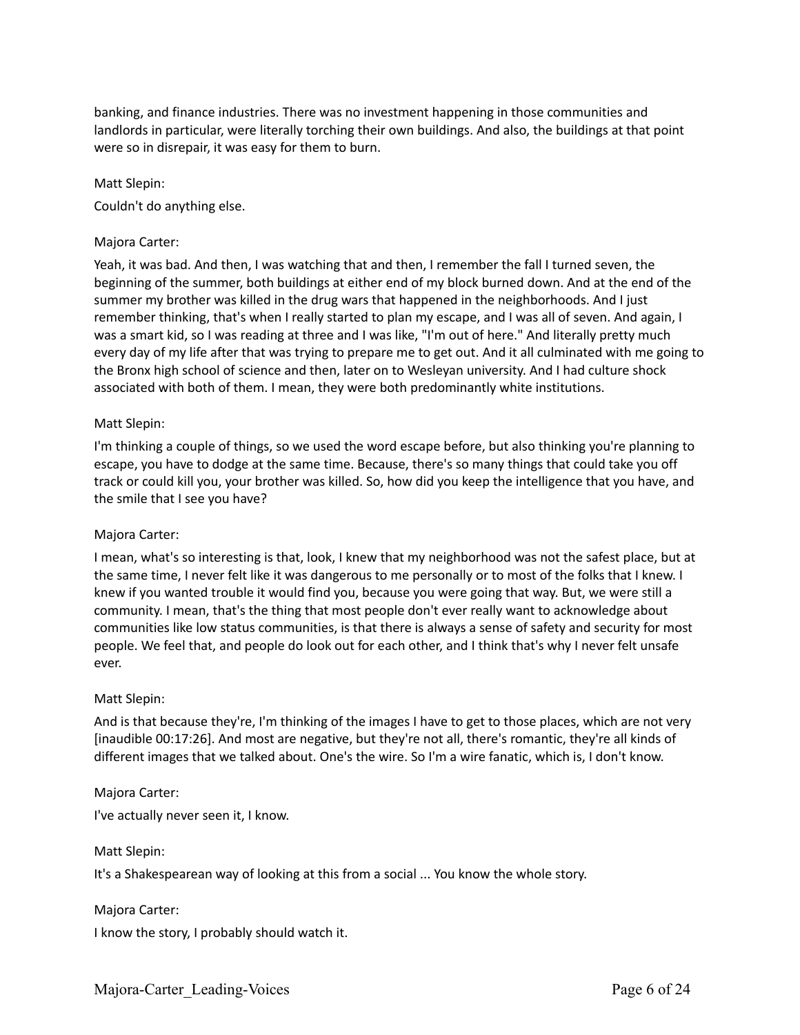banking, and finance industries. There was no investment happening in those communities and landlords in particular, were literally torching their own buildings. And also, the buildings at that point were so in disrepair, it was easy for them to burn.

### Matt Slepin:

Couldn't do anything else.

### Majora Carter:

Yeah, it was bad. And then, I was watching that and then, I remember the fall I turned seven, the beginning of the summer, both buildings at either end of my block burned down. And at the end of the summer my brother was killed in the drug wars that happened in the neighborhoods. And I just remember thinking, that's when I really started to plan my escape, and I was all of seven. And again, I was a smart kid, so I was reading at three and I was like, "I'm out of here." And literally pretty much every day of my life after that was trying to prepare me to get out. And it all culminated with me going to the Bronx high school of science and then, later on to Wesleyan university. And I had culture shock associated with both of them. I mean, they were both predominantly white institutions.

### Matt Slepin:

I'm thinking a couple of things, so we used the word escape before, but also thinking you're planning to escape, you have to dodge at the same time. Because, there's so many things that could take you off track or could kill you, your brother was killed. So, how did you keep the intelligence that you have, and the smile that I see you have?

### Majora Carter:

I mean, what's so interesting is that, look, I knew that my neighborhood was not the safest place, but at the same time, I never felt like it was dangerous to me personally or to most of the folks that I knew. I knew if you wanted trouble it would find you, because you were going that way. But, we were still a community. I mean, that's the thing that most people don't ever really want to acknowledge about communities like low status communities, is that there is always a sense of safety and security for most people. We feel that, and people do look out for each other, and I think that's why I never felt unsafe ever.

### Matt Slepin:

And is that because they're, I'm thinking of the images I have to get to those places, which are not very [inaudible 00:17:26]. And most are negative, but they're not all, there's romantic, they're all kinds of different images that we talked about. One's the wire. So I'm a wire fanatic, which is, I don't know.

### Majora Carter:

I've actually never seen it, I know.

Matt Slepin:

It's a Shakespearean way of looking at this from a social ... You know the whole story.

### Majora Carter:

I know the story, I probably should watch it.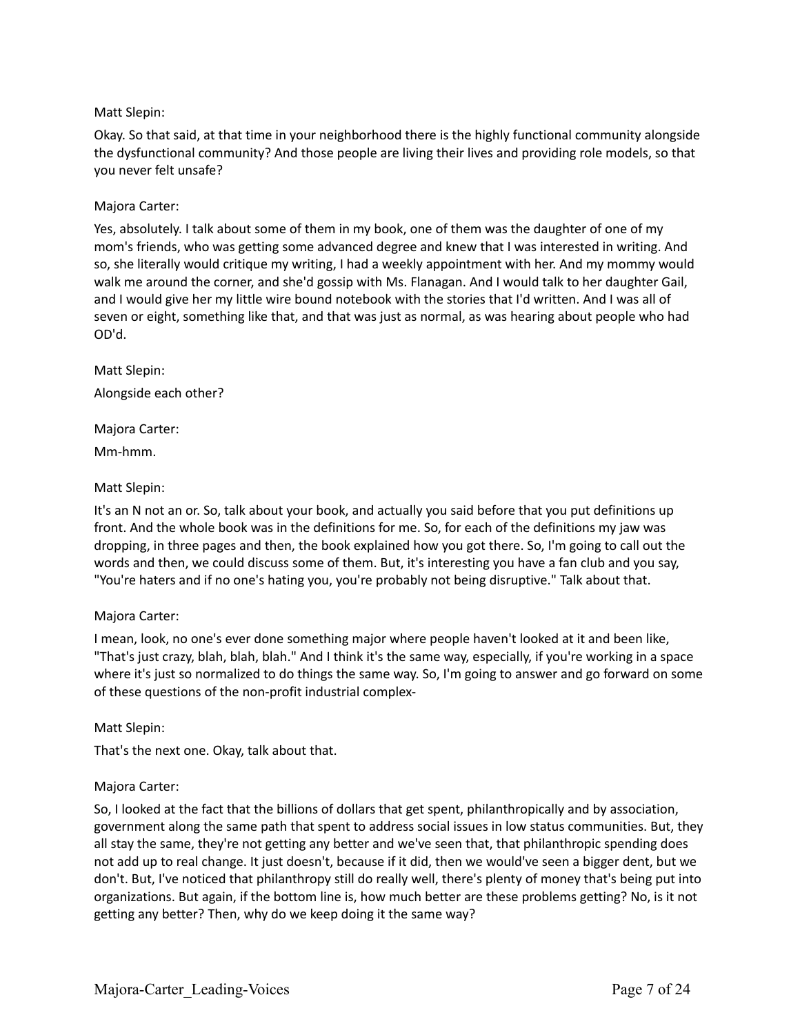## Matt Slepin:

Okay. So that said, at that time in your neighborhood there is the highly functional community alongside the dysfunctional community? And those people are living their lives and providing role models, so that you never felt unsafe?

## Majora Carter:

Yes, absolutely. I talk about some of them in my book, one of them was the daughter of one of my mom's friends, who was getting some advanced degree and knew that I was interested in writing. And so, she literally would critique my writing, I had a weekly appointment with her. And my mommy would walk me around the corner, and she'd gossip with Ms. Flanagan. And I would talk to her daughter Gail, and I would give her my little wire bound notebook with the stories that I'd written. And I was all of seven or eight, something like that, and that was just as normal, as was hearing about people who had OD'd.

Matt Slepin: Alongside each other?

## Majora Carter:

Mm-hmm.

## Matt Slepin:

It's an N not an or. So, talk about your book, and actually you said before that you put definitions up front. And the whole book was in the definitions for me. So, for each of the definitions my jaw was dropping, in three pages and then, the book explained how you got there. So, I'm going to call out the words and then, we could discuss some of them. But, it's interesting you have a fan club and you say, "You're haters and if no one's hating you, you're probably not being disruptive." Talk about that.

## Majora Carter:

I mean, look, no one's ever done something major where people haven't looked at it and been like, "That's just crazy, blah, blah, blah." And I think it's the same way, especially, if you're working in a space where it's just so normalized to do things the same way. So, I'm going to answer and go forward on some of these questions of the non-profit industrial complex-

## Matt Slepin:

That's the next one. Okay, talk about that.

## Majora Carter:

So, I looked at the fact that the billions of dollars that get spent, philanthropically and by association, government along the same path that spent to address social issues in low status communities. But, they all stay the same, they're not getting any better and we've seen that, that philanthropic spending does not add up to real change. It just doesn't, because if it did, then we would've seen a bigger dent, but we don't. But, I've noticed that philanthropy still do really well, there's plenty of money that's being put into organizations. But again, if the bottom line is, how much better are these problems getting? No, is it not getting any better? Then, why do we keep doing it the same way?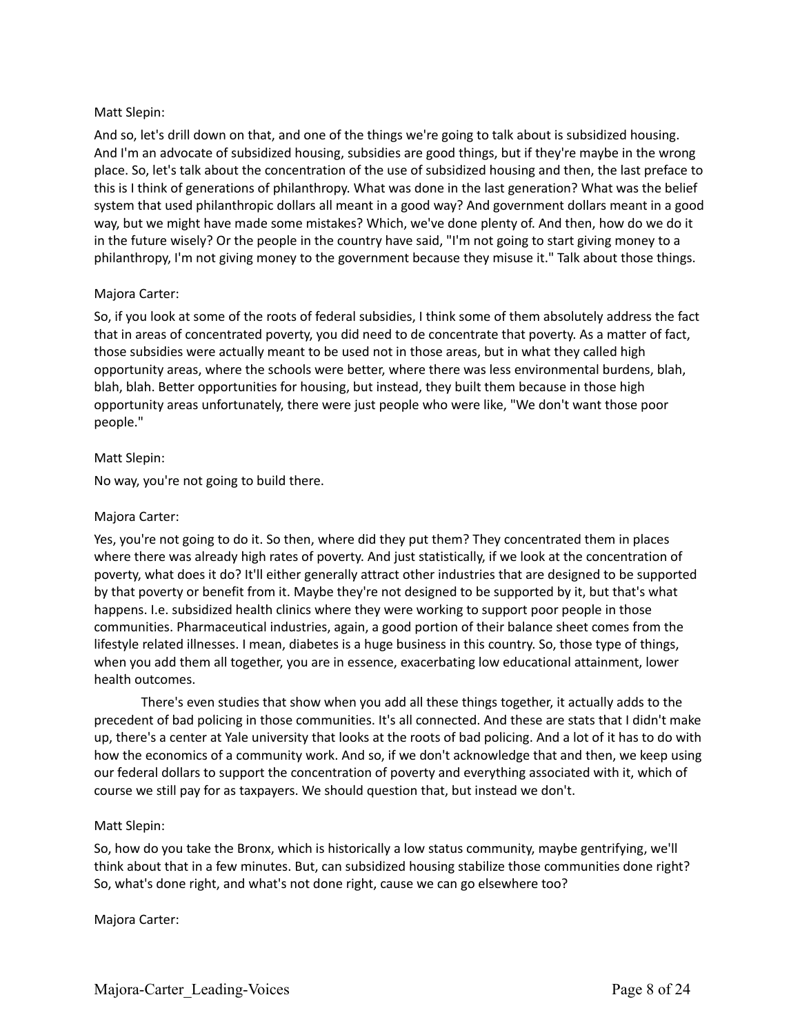## Matt Slepin:

And so, let's drill down on that, and one of the things we're going to talk about is subsidized housing. And I'm an advocate of subsidized housing, subsidies are good things, but if they're maybe in the wrong place. So, let's talk about the concentration of the use of subsidized housing and then, the last preface to this is I think of generations of philanthropy. What was done in the last generation? What was the belief system that used philanthropic dollars all meant in a good way? And government dollars meant in a good way, but we might have made some mistakes? Which, we've done plenty of. And then, how do we do it in the future wisely? Or the people in the country have said, "I'm not going to start giving money to a philanthropy, I'm not giving money to the government because they misuse it." Talk about those things.

## Majora Carter:

So, if you look at some of the roots of federal subsidies, I think some of them absolutely address the fact that in areas of concentrated poverty, you did need to de concentrate that poverty. As a matter of fact, those subsidies were actually meant to be used not in those areas, but in what they called high opportunity areas, where the schools were better, where there was less environmental burdens, blah, blah, blah. Better opportunities for housing, but instead, they built them because in those high opportunity areas unfortunately, there were just people who were like, "We don't want those poor people."

## Matt Slepin:

No way, you're not going to build there.

## Majora Carter:

Yes, you're not going to do it. So then, where did they put them? They concentrated them in places where there was already high rates of poverty. And just statistically, if we look at the concentration of poverty, what does it do? It'll either generally attract other industries that are designed to be supported by that poverty or benefit from it. Maybe they're not designed to be supported by it, but that's what happens. I.e. subsidized health clinics where they were working to support poor people in those communities. Pharmaceutical industries, again, a good portion of their balance sheet comes from the lifestyle related illnesses. I mean, diabetes is a huge business in this country. So, those type of things, when you add them all together, you are in essence, exacerbating low educational attainment, lower health outcomes.

There's even studies that show when you add all these things together, it actually adds to the precedent of bad policing in those communities. It's all connected. And these are stats that I didn't make up, there's a center at Yale university that looks at the roots of bad policing. And a lot of it has to do with how the economics of a community work. And so, if we don't acknowledge that and then, we keep using our federal dollars to support the concentration of poverty and everything associated with it, which of course we still pay for as taxpayers. We should question that, but instead we don't.

## Matt Slepin:

So, how do you take the Bronx, which is historically a low status community, maybe gentrifying, we'll think about that in a few minutes. But, can subsidized housing stabilize those communities done right? So, what's done right, and what's not done right, cause we can go elsewhere too?

## Majora Carter: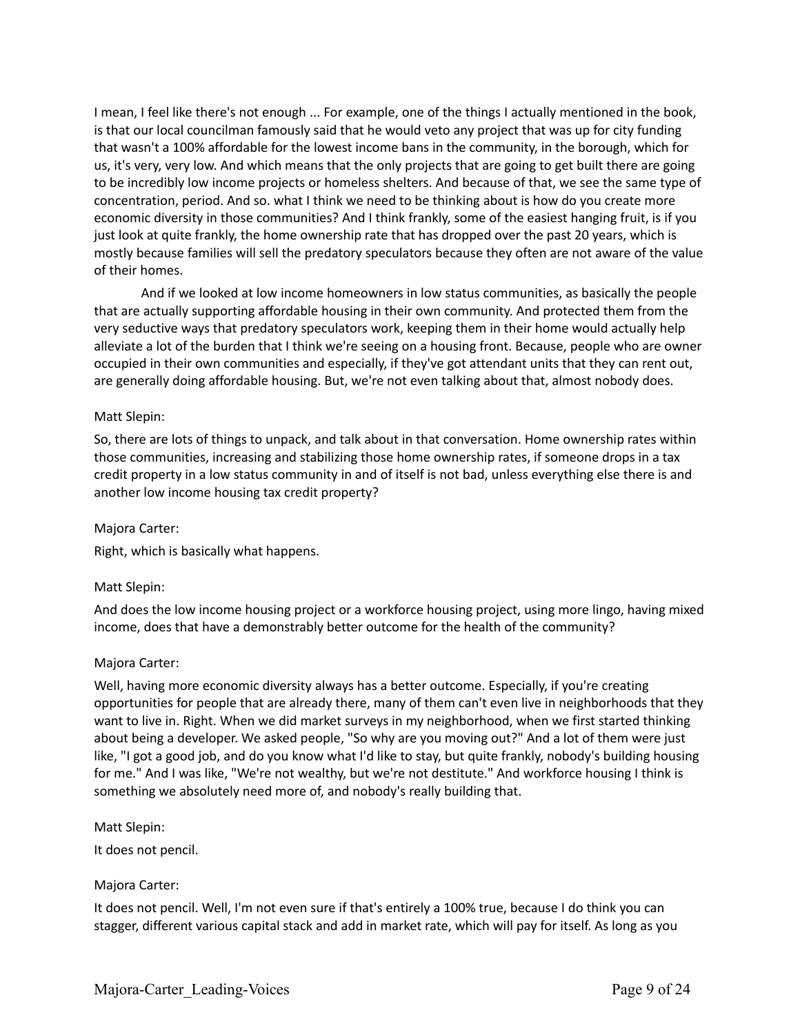I mean, I feel like there's not enough ... For example, one of the things I actually mentioned in the book, is that our local councilman famously said that he would veto any project that was up for city funding that wasn't a 100% affordable for the lowest income bans in the community, in the borough, which for us, it's very, very low. And which means that the only projects that are going to get built there are going to be incredibly low income projects or homeless shelters. And because of that, we see the same type of concentration, period. And so. what I think we need to be thinking about is how do you create more economic diversity in those communities? And I think frankly, some of the easiest hanging fruit, is if you just look at quite frankly, the home ownership rate that has dropped over the past 20 years, which is mostly because families will sell the predatory speculators because they often are not aware of the value of their homes.

And if we looked at low income homeowners in low status communities, as basically the people that are actually supporting affordable housing in their own community. And protected them from the very seductive ways that predatory speculators work, keeping them in their home would actually help alleviate a lot of the burden that I think we're seeing on a housing front. Because, people who are owner occupied in their own communities and especially, if they've got attendant units that they can rent out, are generally doing affordable housing. But, we're not even talking about that, almost nobody does.

### Matt Slepin:

So, there are lots of things to unpack, and talk about in that conversation. Home ownership rates within those communities, increasing and stabilizing those home ownership rates, if someone drops in a tax credit property in a low status community in and of itself is not bad, unless everything else there is and another low income housing tax credit property?

### Majora Carter:

Right, which is basically what happens.

### Matt Slepin:

And does the low income housing project or a workforce housing project, using more lingo, having mixed income, does that have a demonstrably better outcome for the health of the community?

### Majora Carter:

Well, having more economic diversity always has a better outcome. Especially, if you're creating opportunities for people that are already there, many of them can't even live in neighborhoods that they want to live in. Right. When we did market surveys in my neighborhood, when we first started thinking about being a developer. We asked people, "So why are you moving out?" And a lot of them were just like, "I got a good job, and do you know what I'd like to stay, but quite frankly, nobody's building housing for me." And I was like, "We're not wealthy, but we're not destitute." And workforce housing I think is something we absolutely need more of, and nobody's really building that.

Matt Slepin:

It does not pencil.

### Majora Carter:

It does not pencil. Well, I'm not even sure if that's entirely a 100% true, because I do think you can stagger, different various capital stack and add in market rate, which will pay for itself. As long as you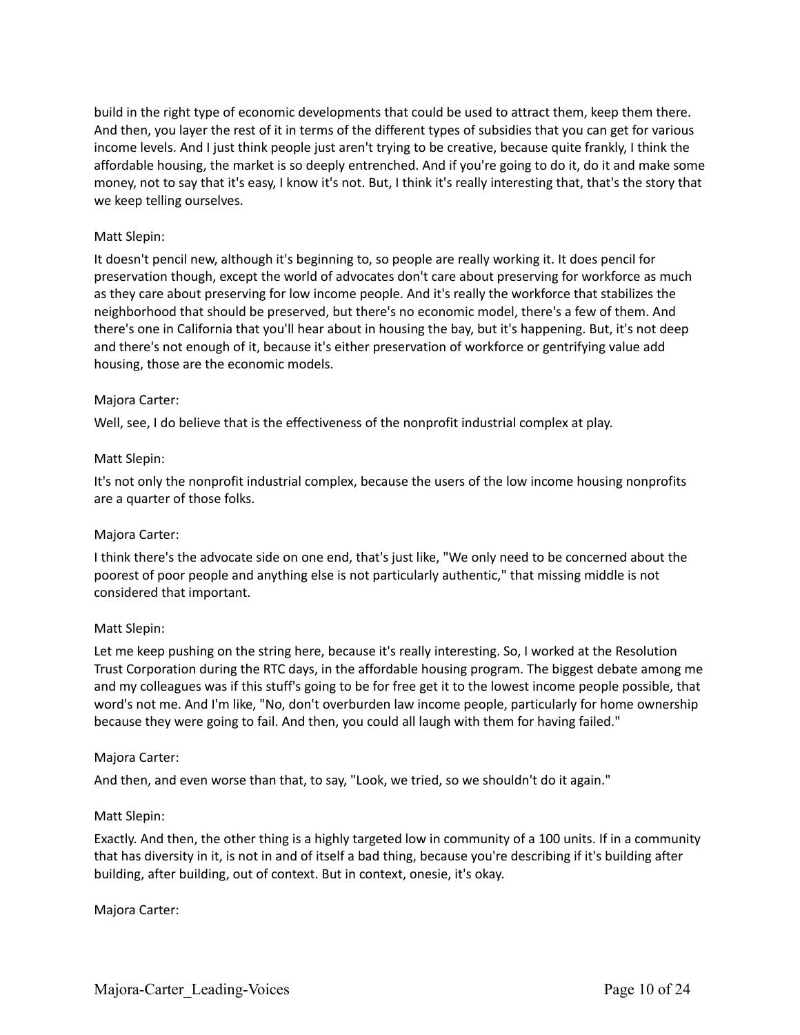build in the right type of economic developments that could be used to attract them, keep them there. And then, you layer the rest of it in terms of the different types of subsidies that you can get for various income levels. And I just think people just aren't trying to be creative, because quite frankly, I think the affordable housing, the market is so deeply entrenched. And if you're going to do it, do it and make some money, not to say that it's easy, I know it's not. But, I think it's really interesting that, that's the story that we keep telling ourselves.

## Matt Slepin:

It doesn't pencil new, although it's beginning to, so people are really working it. It does pencil for preservation though, except the world of advocates don't care about preserving for workforce as much as they care about preserving for low income people. And it's really the workforce that stabilizes the neighborhood that should be preserved, but there's no economic model, there's a few of them. And there's one in California that you'll hear about in housing the bay, but it's happening. But, it's not deep and there's not enough of it, because it's either preservation of workforce or gentrifying value add housing, those are the economic models.

## Majora Carter:

Well, see, I do believe that is the effectiveness of the nonprofit industrial complex at play.

### Matt Slepin:

It's not only the nonprofit industrial complex, because the users of the low income housing nonprofits are a quarter of those folks.

## Majora Carter:

I think there's the advocate side on one end, that's just like, "We only need to be concerned about the poorest of poor people and anything else is not particularly authentic," that missing middle is not considered that important.

## Matt Slepin:

Let me keep pushing on the string here, because it's really interesting. So, I worked at the Resolution Trust Corporation during the RTC days, in the affordable housing program. The biggest debate among me and my colleagues was if this stuff's going to be for free get it to the lowest income people possible, that word's not me. And I'm like, "No, don't overburden law income people, particularly for home ownership because they were going to fail. And then, you could all laugh with them for having failed."

### Majora Carter:

And then, and even worse than that, to say, "Look, we tried, so we shouldn't do it again."

### Matt Slepin:

Exactly. And then, the other thing is a highly targeted low in community of a 100 units. If in a community that has diversity in it, is not in and of itself a bad thing, because you're describing if it's building after building, after building, out of context. But in context, onesie, it's okay.

### Majora Carter: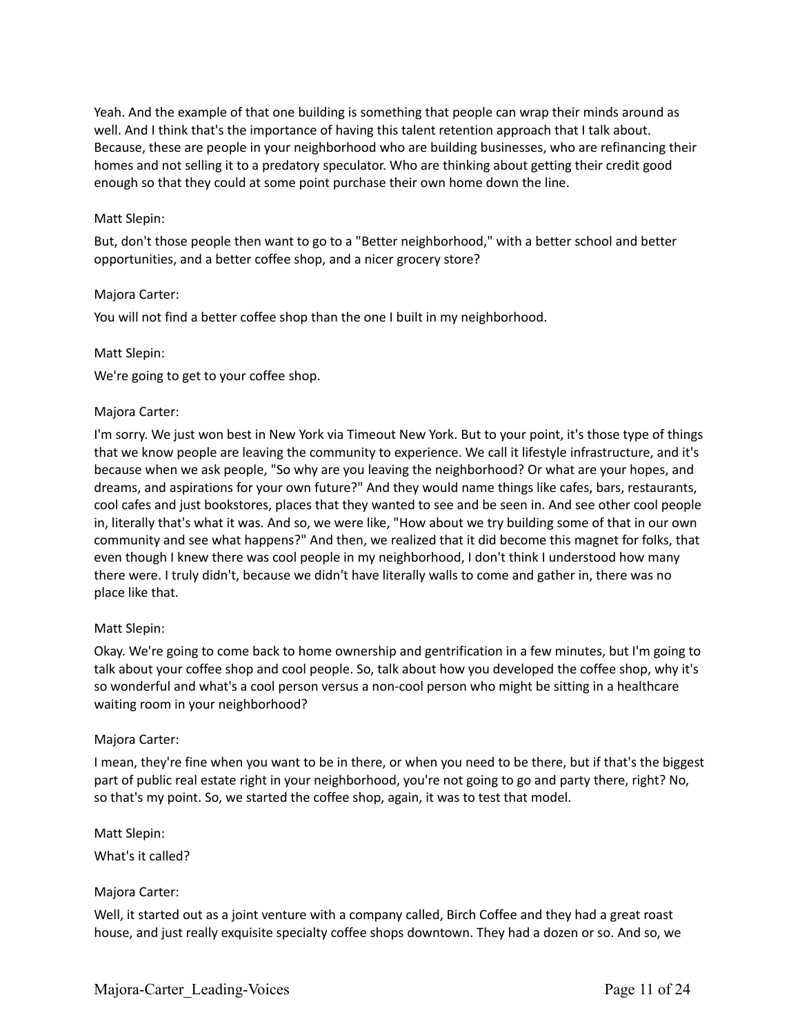Yeah. And the example of that one building is something that people can wrap their minds around as well. And I think that's the importance of having this talent retention approach that I talk about. Because, these are people in your neighborhood who are building businesses, who are refinancing their homes and not selling it to a predatory speculator. Who are thinking about getting their credit good enough so that they could at some point purchase their own home down the line.

## Matt Slepin:

But, don't those people then want to go to a "Better neighborhood," with a better school and better opportunities, and a better coffee shop, and a nicer grocery store?

## Majora Carter:

You will not find a better coffee shop than the one I built in my neighborhood.

### Matt Slepin:

We're going to get to your coffee shop.

### Majora Carter:

I'm sorry. We just won best in New York via Timeout New York. But to your point, it's those type of things that we know people are leaving the community to experience. We call it lifestyle infrastructure, and it's because when we ask people, "So why are you leaving the neighborhood? Or what are your hopes, and dreams, and aspirations for your own future?" And they would name things like cafes, bars, restaurants, cool cafes and just bookstores, places that they wanted to see and be seen in. And see other cool people in, literally that's what it was. And so, we were like, "How about we try building some of that in our own community and see what happens?" And then, we realized that it did become this magnet for folks, that even though I knew there was cool people in my neighborhood, I don't think I understood how many there were. I truly didn't, because we didn't have literally walls to come and gather in, there was no place like that.

## Matt Slepin:

Okay. We're going to come back to home ownership and gentrification in a few minutes, but I'm going to talk about your coffee shop and cool people. So, talk about how you developed the coffee shop, why it's so wonderful and what's a cool person versus a non-cool person who might be sitting in a healthcare waiting room in your neighborhood?

### Majora Carter:

I mean, they're fine when you want to be in there, or when you need to be there, but if that's the biggest part of public real estate right in your neighborhood, you're not going to go and party there, right? No, so that's my point. So, we started the coffee shop, again, it was to test that model.

Matt Slepin: What's it called?

## Majora Carter:

Well, it started out as a joint venture with a company called, Birch Coffee and they had a great roast house, and just really exquisite specialty coffee shops downtown. They had a dozen or so. And so, we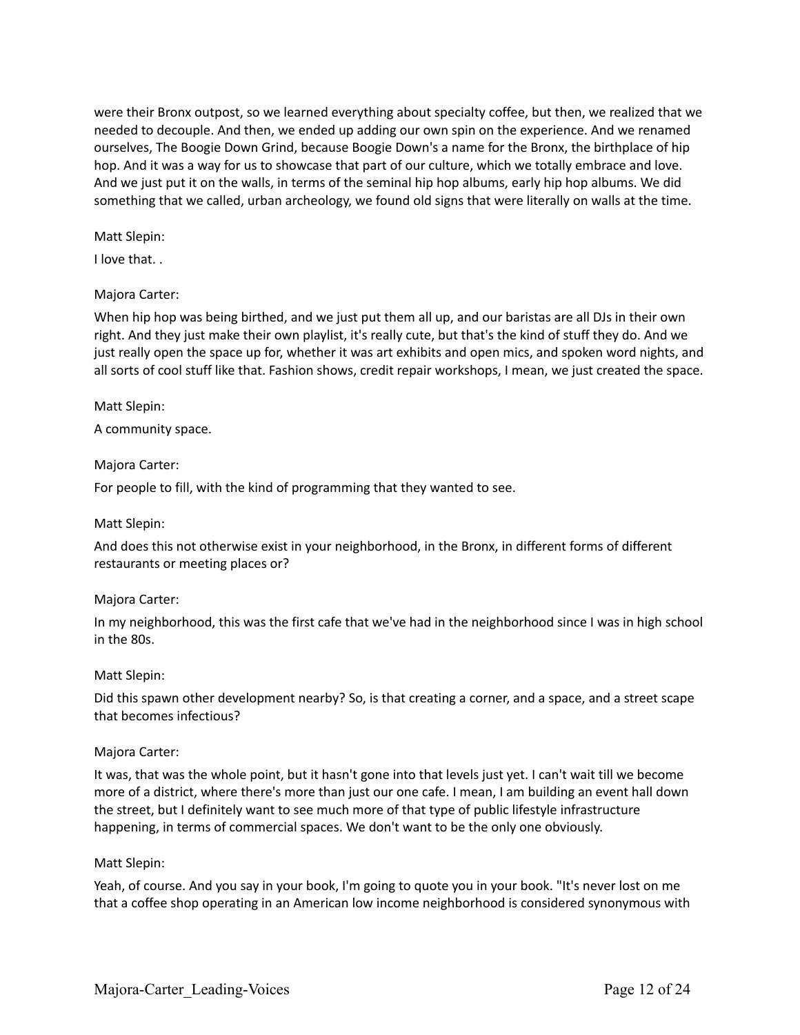were their Bronx outpost, so we learned everything about specialty coffee, but then, we realized that we needed to decouple. And then, we ended up adding our own spin on the experience. And we renamed ourselves, The Boogie Down Grind, because Boogie Down's a name for the Bronx, the birthplace of hip hop. And it was a way for us to showcase that part of our culture, which we totally embrace and love. And we just put it on the walls, in terms of the seminal hip hop albums, early hip hop albums. We did something that we called, urban archeology, we found old signs that were literally on walls at the time.

### Matt Slepin:

I love that. .

## Majora Carter:

When hip hop was being birthed, and we just put them all up, and our baristas are all DJs in their own right. And they just make their own playlist, it's really cute, but that's the kind of stuff they do. And we just really open the space up for, whether it was art exhibits and open mics, and spoken word nights, and all sorts of cool stuff like that. Fashion shows, credit repair workshops, I mean, we just created the space.

## Matt Slepin:

A community space.

### Majora Carter:

For people to fill, with the kind of programming that they wanted to see.

## Matt Slepin:

And does this not otherwise exist in your neighborhood, in the Bronx, in different forms of different restaurants or meeting places or?

## Majora Carter:

In my neighborhood, this was the first cafe that we've had in the neighborhood since I was in high school in the 80s.

## Matt Slepin:

Did this spawn other development nearby? So, is that creating a corner, and a space, and a street scape that becomes infectious?

## Majora Carter:

It was, that was the whole point, but it hasn't gone into that levels just yet. I can't wait till we become more of a district, where there's more than just our one cafe. I mean, I am building an event hall down the street, but I definitely want to see much more of that type of public lifestyle infrastructure happening, in terms of commercial spaces. We don't want to be the only one obviously.

### Matt Slepin:

Yeah, of course. And you say in your book, I'm going to quote you in your book. "It's never lost on me that a coffee shop operating in an American low income neighborhood is considered synonymous with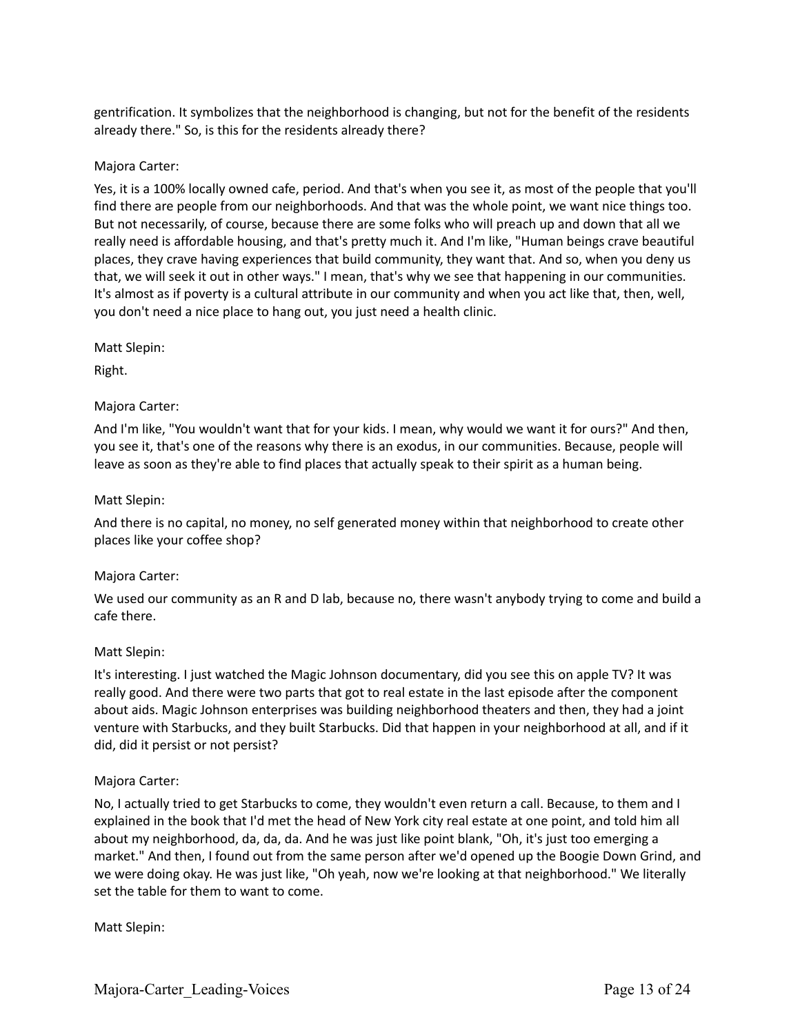gentrification. It symbolizes that the neighborhood is changing, but not for the benefit of the residents already there." So, is this for the residents already there?

## Majora Carter:

Yes, it is a 100% locally owned cafe, period. And that's when you see it, as most of the people that you'll find there are people from our neighborhoods. And that was the whole point, we want nice things too. But not necessarily, of course, because there are some folks who will preach up and down that all we really need is affordable housing, and that's pretty much it. And I'm like, "Human beings crave beautiful places, they crave having experiences that build community, they want that. And so, when you deny us that, we will seek it out in other ways." I mean, that's why we see that happening in our communities. It's almost as if poverty is a cultural attribute in our community and when you act like that, then, well, you don't need a nice place to hang out, you just need a health clinic.

## Matt Slepin:

Right.

## Majora Carter:

And I'm like, "You wouldn't want that for your kids. I mean, why would we want it for ours?" And then, you see it, that's one of the reasons why there is an exodus, in our communities. Because, people will leave as soon as they're able to find places that actually speak to their spirit as a human being.

## Matt Slepin:

And there is no capital, no money, no self generated money within that neighborhood to create other places like your coffee shop?

## Majora Carter:

We used our community as an R and D lab, because no, there wasn't anybody trying to come and build a cafe there.

## Matt Slepin:

It's interesting. I just watched the Magic Johnson documentary, did you see this on apple TV? It was really good. And there were two parts that got to real estate in the last episode after the component about aids. Magic Johnson enterprises was building neighborhood theaters and then, they had a joint venture with Starbucks, and they built Starbucks. Did that happen in your neighborhood at all, and if it did, did it persist or not persist?

## Majora Carter:

No, I actually tried to get Starbucks to come, they wouldn't even return a call. Because, to them and I explained in the book that I'd met the head of New York city real estate at one point, and told him all about my neighborhood, da, da, da. And he was just like point blank, "Oh, it's just too emerging a market." And then, I found out from the same person after we'd opened up the Boogie Down Grind, and we were doing okay. He was just like, "Oh yeah, now we're looking at that neighborhood." We literally set the table for them to want to come.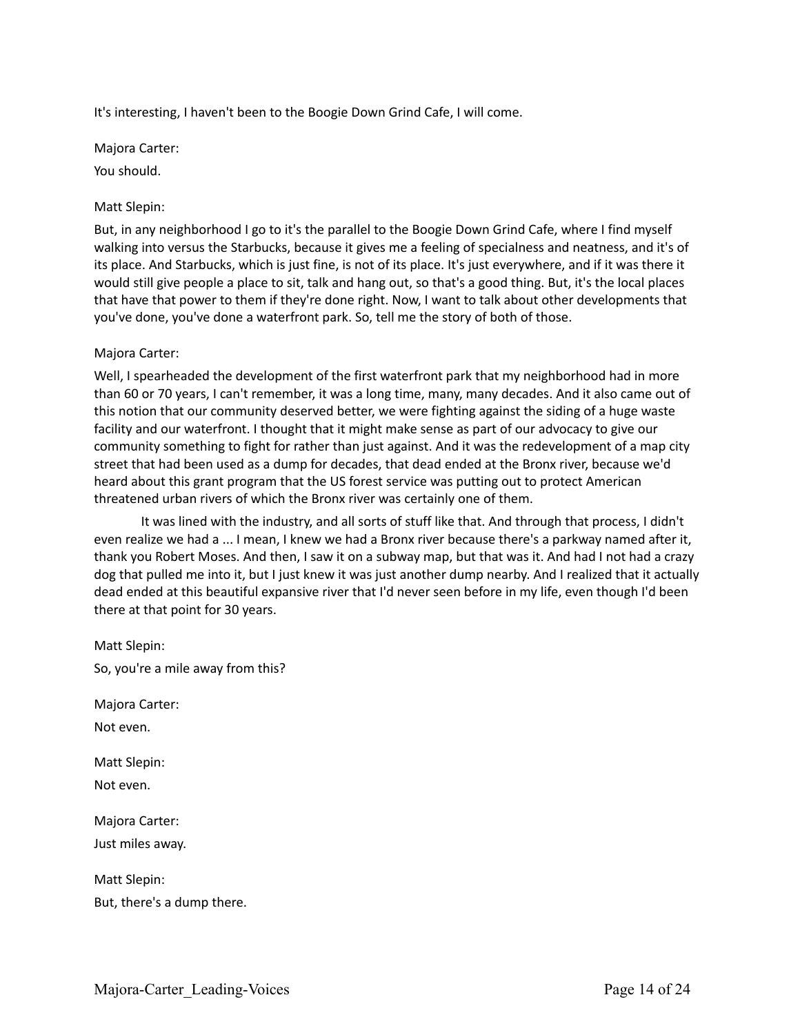It's interesting, I haven't been to the Boogie Down Grind Cafe, I will come.

Majora Carter: You should.

## Matt Slepin:

But, in any neighborhood I go to it's the parallel to the Boogie Down Grind Cafe, where I find myself walking into versus the Starbucks, because it gives me a feeling of specialness and neatness, and it's of its place. And Starbucks, which is just fine, is not of its place. It's just everywhere, and if it was there it would still give people a place to sit, talk and hang out, so that's a good thing. But, it's the local places that have that power to them if they're done right. Now, I want to talk about other developments that you've done, you've done a waterfront park. So, tell me the story of both of those.

### Majora Carter:

Well, I spearheaded the development of the first waterfront park that my neighborhood had in more than 60 or 70 years, I can't remember, it was a long time, many, many decades. And it also came out of this notion that our community deserved better, we were fighting against the siding of a huge waste facility and our waterfront. I thought that it might make sense as part of our advocacy to give our community something to fight for rather than just against. And it was the redevelopment of a map city street that had been used as a dump for decades, that dead ended at the Bronx river, because we'd heard about this grant program that the US forest service was putting out to protect American threatened urban rivers of which the Bronx river was certainly one of them.

It was lined with the industry, and all sorts of stuff like that. And through that process, I didn't even realize we had a ... I mean, I knew we had a Bronx river because there's a parkway named after it, thank you Robert Moses. And then, I saw it on a subway map, but that was it. And had I not had a crazy dog that pulled me into it, but I just knew it was just another dump nearby. And I realized that it actually dead ended at this beautiful expansive river that I'd never seen before in my life, even though I'd been there at that point for 30 years.

Matt Slepin: So, you're a mile away from this?

Majora Carter:

Not even.

Matt Slepin: Not even.

Majora Carter: Just miles away.

Matt Slepin:

But, there's a dump there.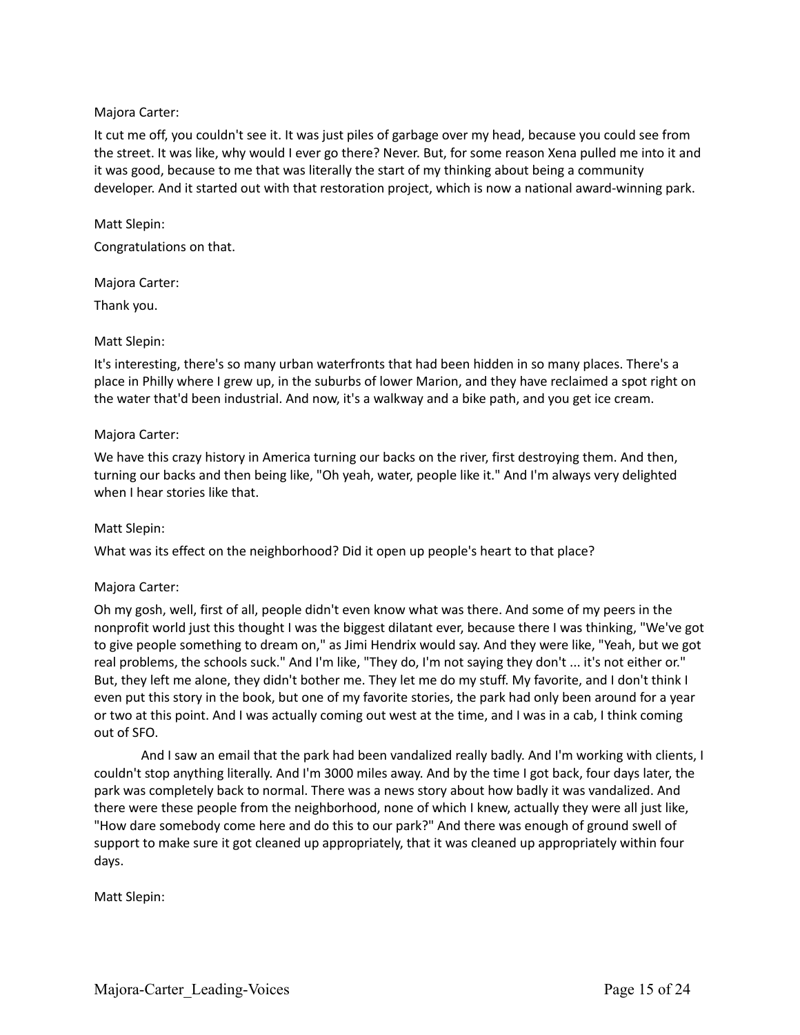## Majora Carter:

It cut me off, you couldn't see it. It was just piles of garbage over my head, because you could see from the street. It was like, why would I ever go there? Never. But, for some reason Xena pulled me into it and it was good, because to me that was literally the start of my thinking about being a community developer. And it started out with that restoration project, which is now a national award-winning park.

Matt Slepin: Congratulations on that.

Majora Carter:

Thank you.

## Matt Slepin:

It's interesting, there's so many urban waterfronts that had been hidden in so many places. There's a place in Philly where I grew up, in the suburbs of lower Marion, and they have reclaimed a spot right on the water that'd been industrial. And now, it's a walkway and a bike path, and you get ice cream.

## Majora Carter:

We have this crazy history in America turning our backs on the river, first destroying them. And then, turning our backs and then being like, "Oh yeah, water, people like it." And I'm always very delighted when I hear stories like that.

## Matt Slepin:

What was its effect on the neighborhood? Did it open up people's heart to that place?

## Majora Carter:

Oh my gosh, well, first of all, people didn't even know what was there. And some of my peers in the nonprofit world just this thought I was the biggest dilatant ever, because there I was thinking, "We've got to give people something to dream on," as Jimi Hendrix would say. And they were like, "Yeah, but we got real problems, the schools suck." And I'm like, "They do, I'm not saying they don't ... it's not either or." But, they left me alone, they didn't bother me. They let me do my stuff. My favorite, and I don't think I even put this story in the book, but one of my favorite stories, the park had only been around for a year or two at this point. And I was actually coming out west at the time, and I was in a cab, I think coming out of SFO.

And I saw an email that the park had been vandalized really badly. And I'm working with clients, I couldn't stop anything literally. And I'm 3000 miles away. And by the time I got back, four days later, the park was completely back to normal. There was a news story about how badly it was vandalized. And there were these people from the neighborhood, none of which I knew, actually they were all just like, "How dare somebody come here and do this to our park?" And there was enough of ground swell of support to make sure it got cleaned up appropriately, that it was cleaned up appropriately within four days.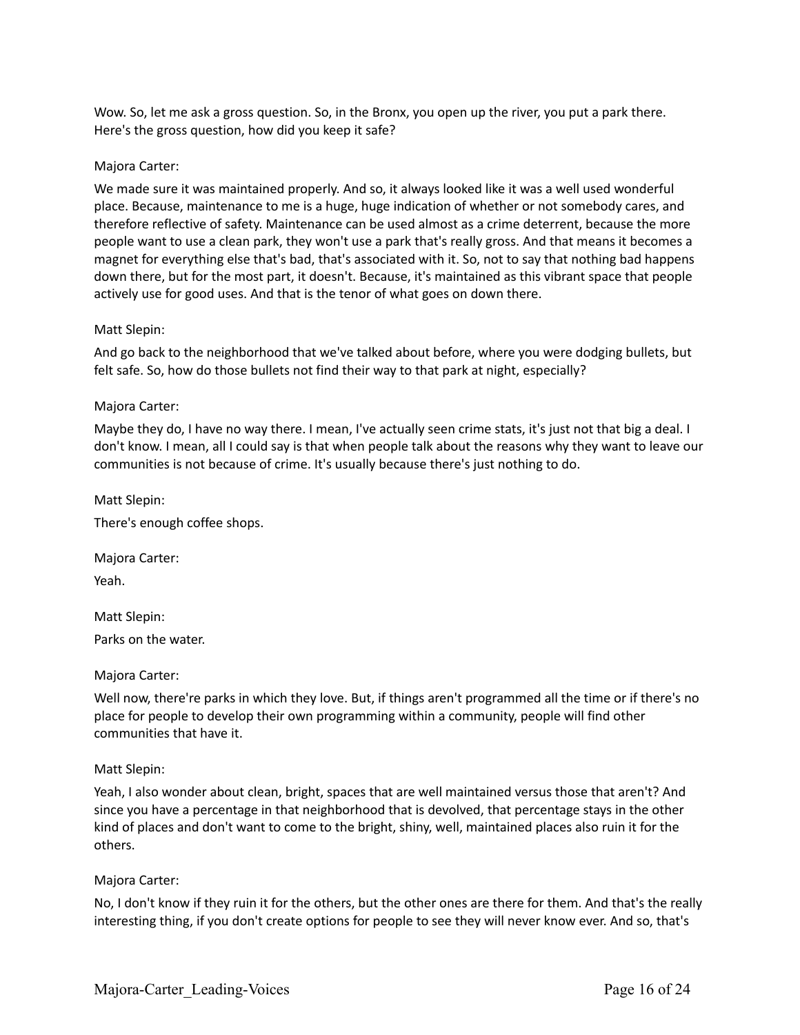Wow. So, let me ask a gross question. So, in the Bronx, you open up the river, you put a park there. Here's the gross question, how did you keep it safe?

### Majora Carter:

We made sure it was maintained properly. And so, it always looked like it was a well used wonderful place. Because, maintenance to me is a huge, huge indication of whether or not somebody cares, and therefore reflective of safety. Maintenance can be used almost as a crime deterrent, because the more people want to use a clean park, they won't use a park that's really gross. And that means it becomes a magnet for everything else that's bad, that's associated with it. So, not to say that nothing bad happens down there, but for the most part, it doesn't. Because, it's maintained as this vibrant space that people actively use for good uses. And that is the tenor of what goes on down there.

### Matt Slepin:

And go back to the neighborhood that we've talked about before, where you were dodging bullets, but felt safe. So, how do those bullets not find their way to that park at night, especially?

### Majora Carter:

Maybe they do, I have no way there. I mean, I've actually seen crime stats, it's just not that big a deal. I don't know. I mean, all I could say is that when people talk about the reasons why they want to leave our communities is not because of crime. It's usually because there's just nothing to do.

Matt Slepin: There's enough coffee shops.

Majora Carter:

Yeah.

Matt Slepin:

Parks on the water.

### Majora Carter:

Well now, there're parks in which they love. But, if things aren't programmed all the time or if there's no place for people to develop their own programming within a community, people will find other communities that have it.

### Matt Slepin:

Yeah, I also wonder about clean, bright, spaces that are well maintained versus those that aren't? And since you have a percentage in that neighborhood that is devolved, that percentage stays in the other kind of places and don't want to come to the bright, shiny, well, maintained places also ruin it for the others.

### Majora Carter:

No, I don't know if they ruin it for the others, but the other ones are there for them. And that's the really interesting thing, if you don't create options for people to see they will never know ever. And so, that's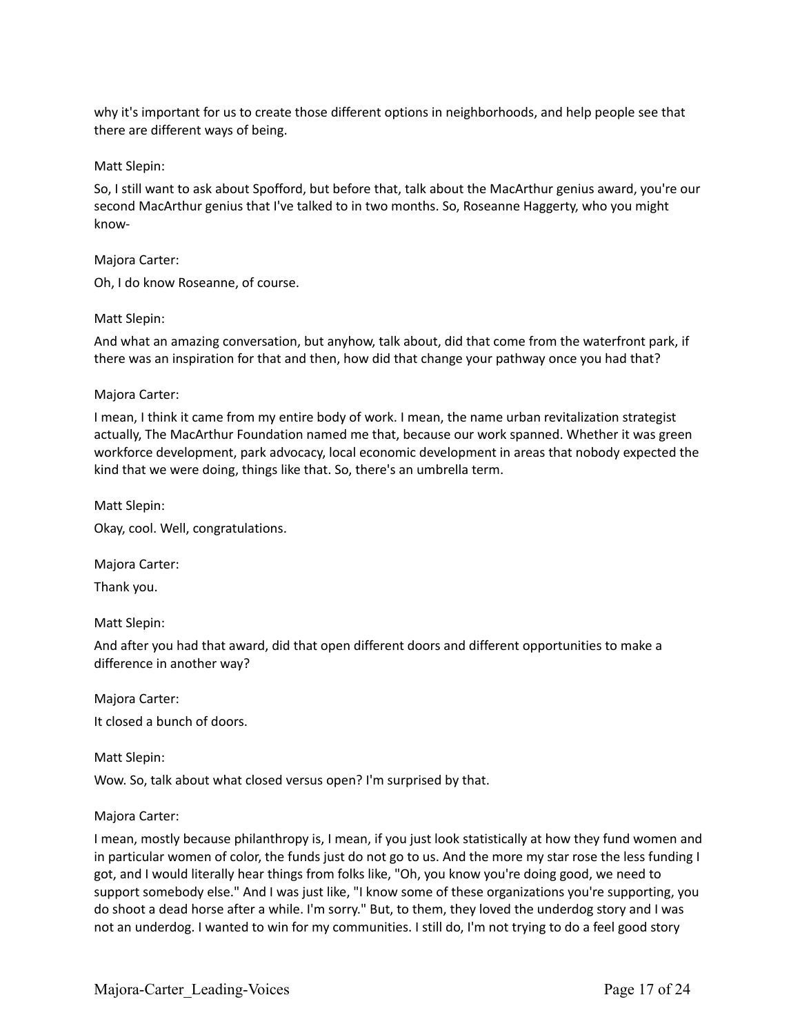why it's important for us to create those different options in neighborhoods, and help people see that there are different ways of being.

### Matt Slepin:

So, I still want to ask about Spofford, but before that, talk about the MacArthur genius award, you're our second MacArthur genius that I've talked to in two months. So, Roseanne Haggerty, who you might know-

### Majora Carter:

Oh, I do know Roseanne, of course.

### Matt Slepin:

And what an amazing conversation, but anyhow, talk about, did that come from the waterfront park, if there was an inspiration for that and then, how did that change your pathway once you had that?

### Majora Carter:

I mean, I think it came from my entire body of work. I mean, the name urban revitalization strategist actually, The MacArthur Foundation named me that, because our work spanned. Whether it was green workforce development, park advocacy, local economic development in areas that nobody expected the kind that we were doing, things like that. So, there's an umbrella term.

Matt Slepin: Okay, cool. Well, congratulations.

Majora Carter:

Thank you.

Matt Slepin:

And after you had that award, did that open different doors and different opportunities to make a difference in another way?

Majora Carter:

It closed a bunch of doors.

Matt Slepin:

Wow. So, talk about what closed versus open? I'm surprised by that.

### Majora Carter:

I mean, mostly because philanthropy is, I mean, if you just look statistically at how they fund women and in particular women of color, the funds just do not go to us. And the more my star rose the less funding I got, and I would literally hear things from folks like, "Oh, you know you're doing good, we need to support somebody else." And I was just like, "I know some of these organizations you're supporting, you do shoot a dead horse after a while. I'm sorry." But, to them, they loved the underdog story and I was not an underdog. I wanted to win for my communities. I still do, I'm not trying to do a feel good story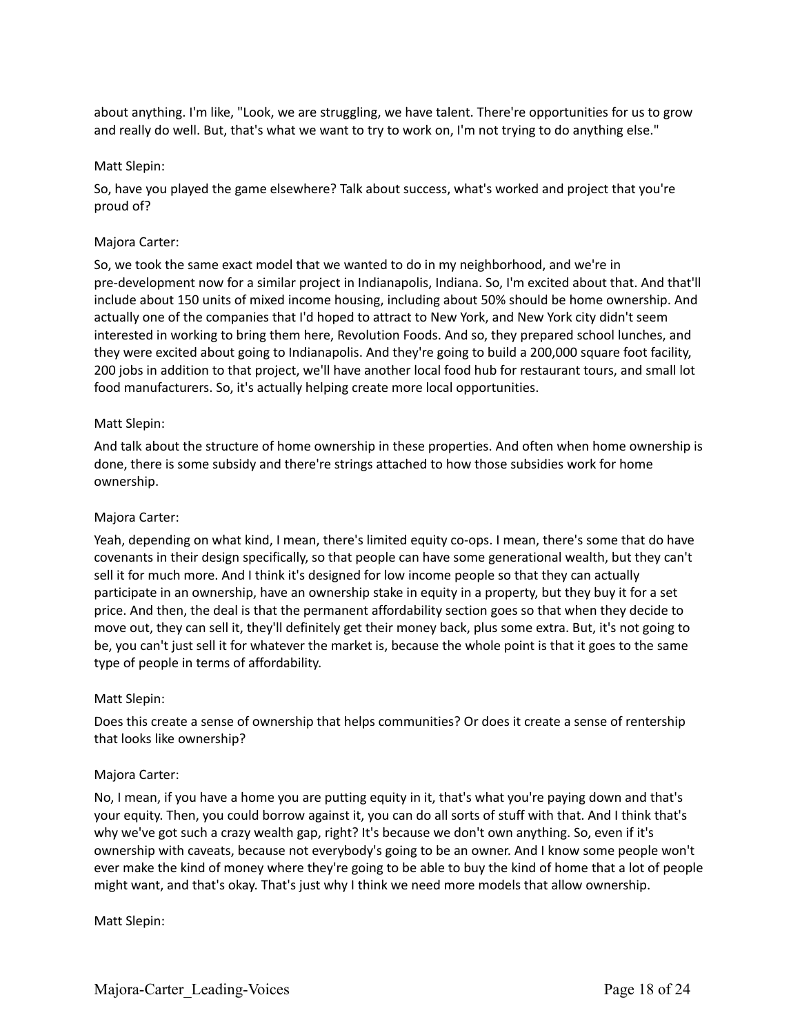about anything. I'm like, "Look, we are struggling, we have talent. There're opportunities for us to grow and really do well. But, that's what we want to try to work on, I'm not trying to do anything else."

### Matt Slepin:

So, have you played the game elsewhere? Talk about success, what's worked and project that you're proud of?

### Majora Carter:

So, we took the same exact model that we wanted to do in my neighborhood, and we're in pre-development now for a similar project in Indianapolis, Indiana. So, I'm excited about that. And that'll include about 150 units of mixed income housing, including about 50% should be home ownership. And actually one of the companies that I'd hoped to attract to New York, and New York city didn't seem interested in working to bring them here, Revolution Foods. And so, they prepared school lunches, and they were excited about going to Indianapolis. And they're going to build a 200,000 square foot facility, 200 jobs in addition to that project, we'll have another local food hub for restaurant tours, and small lot food manufacturers. So, it's actually helping create more local opportunities.

### Matt Slepin:

And talk about the structure of home ownership in these properties. And often when home ownership is done, there is some subsidy and there're strings attached to how those subsidies work for home ownership.

### Majora Carter:

Yeah, depending on what kind, I mean, there's limited equity co-ops. I mean, there's some that do have covenants in their design specifically, so that people can have some generational wealth, but they can't sell it for much more. And I think it's designed for low income people so that they can actually participate in an ownership, have an ownership stake in equity in a property, but they buy it for a set price. And then, the deal is that the permanent affordability section goes so that when they decide to move out, they can sell it, they'll definitely get their money back, plus some extra. But, it's not going to be, you can't just sell it for whatever the market is, because the whole point is that it goes to the same type of people in terms of affordability.

### Matt Slepin:

Does this create a sense of ownership that helps communities? Or does it create a sense of rentership that looks like ownership?

### Majora Carter:

No, I mean, if you have a home you are putting equity in it, that's what you're paying down and that's your equity. Then, you could borrow against it, you can do all sorts of stuff with that. And I think that's why we've got such a crazy wealth gap, right? It's because we don't own anything. So, even if it's ownership with caveats, because not everybody's going to be an owner. And I know some people won't ever make the kind of money where they're going to be able to buy the kind of home that a lot of people might want, and that's okay. That's just why I think we need more models that allow ownership.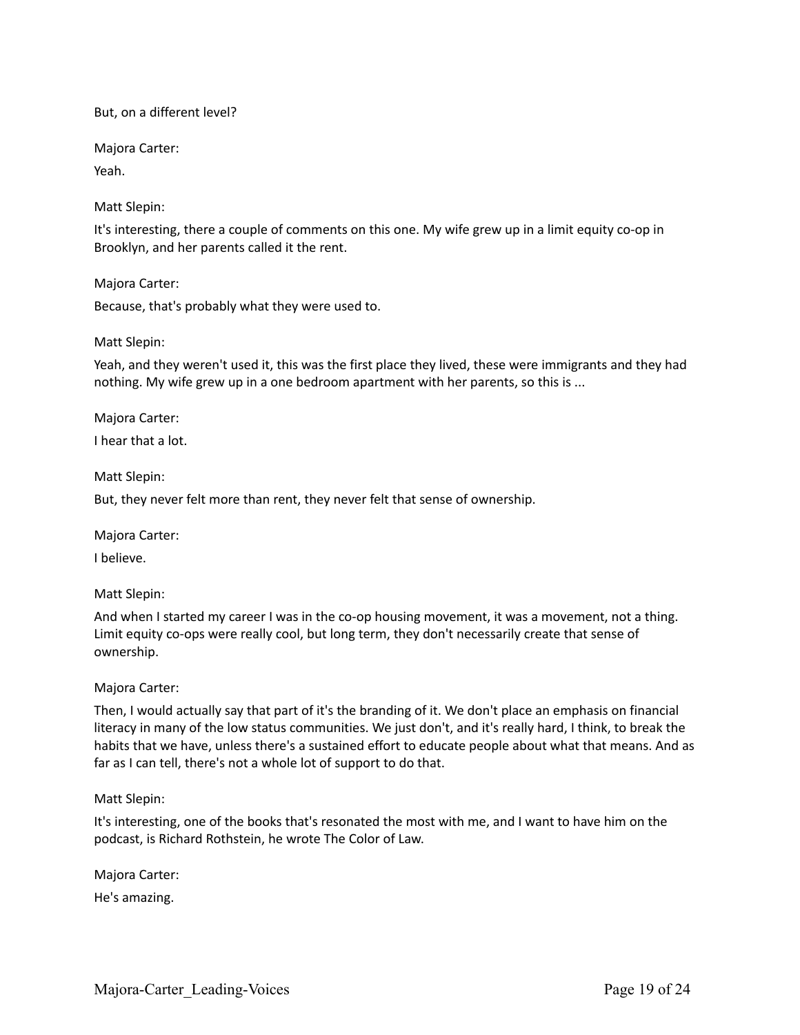### But, on a different level?

Majora Carter:

Yeah.

## Matt Slepin:

It's interesting, there a couple of comments on this one. My wife grew up in a limit equity co-op in Brooklyn, and her parents called it the rent.

Majora Carter: Because, that's probably what they were used to.

## Matt Slepin:

Yeah, and they weren't used it, this was the first place they lived, these were immigrants and they had nothing. My wife grew up in a one bedroom apartment with her parents, so this is ...

Majora Carter:

I hear that a lot.

Matt Slepin:

But, they never felt more than rent, they never felt that sense of ownership.

Majora Carter:

I believe.

## Matt Slepin:

And when I started my career I was in the co-op housing movement, it was a movement, not a thing. Limit equity co-ops were really cool, but long term, they don't necessarily create that sense of ownership.

## Majora Carter:

Then, I would actually say that part of it's the branding of it. We don't place an emphasis on financial literacy in many of the low status communities. We just don't, and it's really hard, I think, to break the habits that we have, unless there's a sustained effort to educate people about what that means. And as far as I can tell, there's not a whole lot of support to do that.

## Matt Slepin:

It's interesting, one of the books that's resonated the most with me, and I want to have him on the podcast, is Richard Rothstein, he wrote The Color of Law.

Majora Carter:

He's amazing.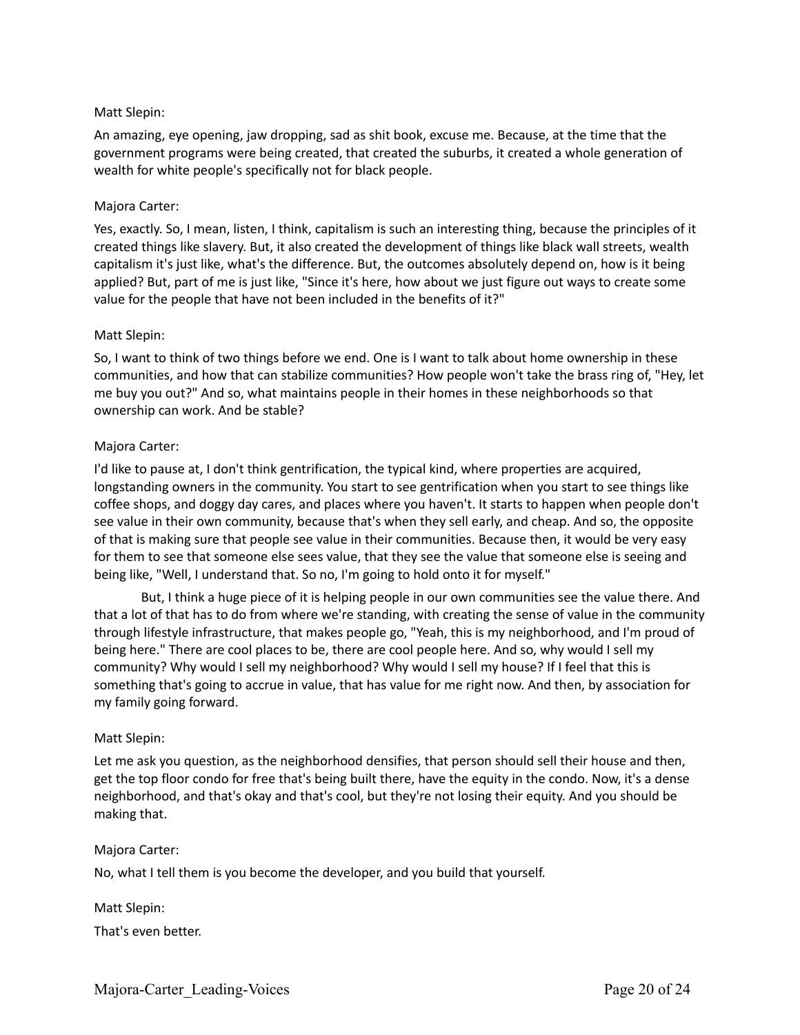## Matt Slepin:

An amazing, eye opening, jaw dropping, sad as shit book, excuse me. Because, at the time that the government programs were being created, that created the suburbs, it created a whole generation of wealth for white people's specifically not for black people.

### Majora Carter:

Yes, exactly. So, I mean, listen, I think, capitalism is such an interesting thing, because the principles of it created things like slavery. But, it also created the development of things like black wall streets, wealth capitalism it's just like, what's the difference. But, the outcomes absolutely depend on, how is it being applied? But, part of me is just like, "Since it's here, how about we just figure out ways to create some value for the people that have not been included in the benefits of it?"

### Matt Slepin:

So, I want to think of two things before we end. One is I want to talk about home ownership in these communities, and how that can stabilize communities? How people won't take the brass ring of, "Hey, let me buy you out?" And so, what maintains people in their homes in these neighborhoods so that ownership can work. And be stable?

### Majora Carter:

I'd like to pause at, I don't think gentrification, the typical kind, where properties are acquired, longstanding owners in the community. You start to see gentrification when you start to see things like coffee shops, and doggy day cares, and places where you haven't. It starts to happen when people don't see value in their own community, because that's when they sell early, and cheap. And so, the opposite of that is making sure that people see value in their communities. Because then, it would be very easy for them to see that someone else sees value, that they see the value that someone else is seeing and being like, "Well, I understand that. So no, I'm going to hold onto it for myself."

But, I think a huge piece of it is helping people in our own communities see the value there. And that a lot of that has to do from where we're standing, with creating the sense of value in the community through lifestyle infrastructure, that makes people go, "Yeah, this is my neighborhood, and I'm proud of being here." There are cool places to be, there are cool people here. And so, why would I sell my community? Why would I sell my neighborhood? Why would I sell my house? If I feel that this is something that's going to accrue in value, that has value for me right now. And then, by association for my family going forward.

### Matt Slepin:

Let me ask you question, as the neighborhood densifies, that person should sell their house and then, get the top floor condo for free that's being built there, have the equity in the condo. Now, it's a dense neighborhood, and that's okay and that's cool, but they're not losing their equity. And you should be making that.

### Majora Carter:

No, what I tell them is you become the developer, and you build that yourself.

Matt Slepin: That's even better.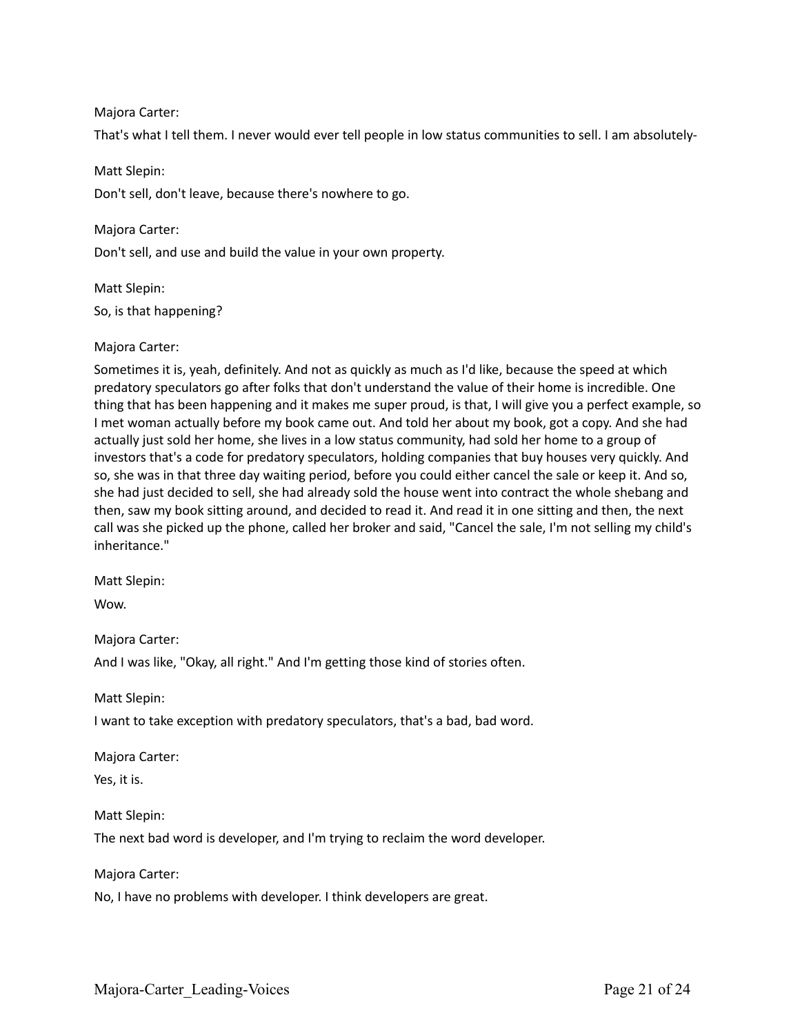## Majora Carter:

That's what I tell them. I never would ever tell people in low status communities to sell. I am absolutely-

### Matt Slepin:

Don't sell, don't leave, because there's nowhere to go.

### Majora Carter:

Don't sell, and use and build the value in your own property.

# Matt Slepin: So, is that happening?

### Majora Carter:

Sometimes it is, yeah, definitely. And not as quickly as much as I'd like, because the speed at which predatory speculators go after folks that don't understand the value of their home is incredible. One thing that has been happening and it makes me super proud, is that, I will give you a perfect example, so I met woman actually before my book came out. And told her about my book, got a copy. And she had actually just sold her home, she lives in a low status community, had sold her home to a group of investors that's a code for predatory speculators, holding companies that buy houses very quickly. And so, she was in that three day waiting period, before you could either cancel the sale or keep it. And so, she had just decided to sell, she had already sold the house went into contract the whole shebang and then, saw my book sitting around, and decided to read it. And read it in one sitting and then, the next call was she picked up the phone, called her broker and said, "Cancel the sale, I'm not selling my child's inheritance."

Matt Slepin:

Wow.

Majora Carter:

And I was like, "Okay, all right." And I'm getting those kind of stories often.

Matt Slepin:

I want to take exception with predatory speculators, that's a bad, bad word.

Majora Carter:

Yes, it is.

### Matt Slepin:

The next bad word is developer, and I'm trying to reclaim the word developer.

Majora Carter:

No, I have no problems with developer. I think developers are great.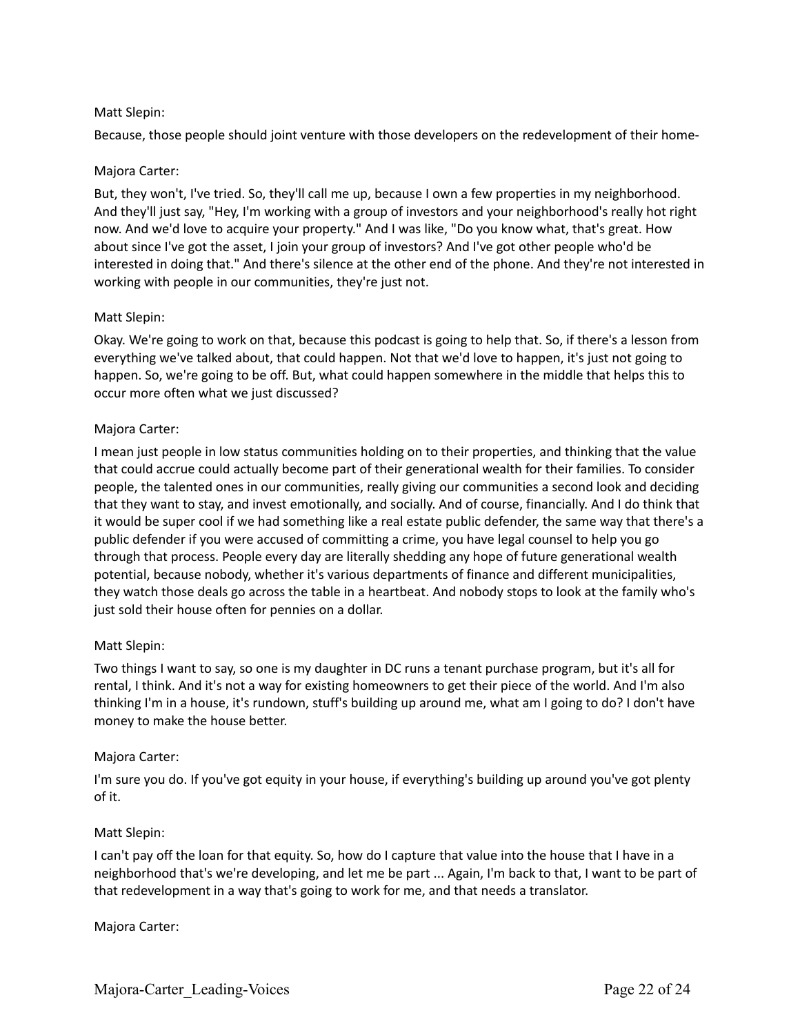## Matt Slepin:

Because, those people should joint venture with those developers on the redevelopment of their home-

## Majora Carter:

But, they won't, I've tried. So, they'll call me up, because I own a few properties in my neighborhood. And they'll just say, "Hey, I'm working with a group of investors and your neighborhood's really hot right now. And we'd love to acquire your property." And I was like, "Do you know what, that's great. How about since I've got the asset, I join your group of investors? And I've got other people who'd be interested in doing that." And there's silence at the other end of the phone. And they're not interested in working with people in our communities, they're just not.

## Matt Slepin:

Okay. We're going to work on that, because this podcast is going to help that. So, if there's a lesson from everything we've talked about, that could happen. Not that we'd love to happen, it's just not going to happen. So, we're going to be off. But, what could happen somewhere in the middle that helps this to occur more often what we just discussed?

### Majora Carter:

I mean just people in low status communities holding on to their properties, and thinking that the value that could accrue could actually become part of their generational wealth for their families. To consider people, the talented ones in our communities, really giving our communities a second look and deciding that they want to stay, and invest emotionally, and socially. And of course, financially. And I do think that it would be super cool if we had something like a real estate public defender, the same way that there's a public defender if you were accused of committing a crime, you have legal counsel to help you go through that process. People every day are literally shedding any hope of future generational wealth potential, because nobody, whether it's various departments of finance and different municipalities, they watch those deals go across the table in a heartbeat. And nobody stops to look at the family who's just sold their house often for pennies on a dollar.

## Matt Slepin:

Two things I want to say, so one is my daughter in DC runs a tenant purchase program, but it's all for rental, I think. And it's not a way for existing homeowners to get their piece of the world. And I'm also thinking I'm in a house, it's rundown, stuff's building up around me, what am I going to do? I don't have money to make the house better.

## Majora Carter:

I'm sure you do. If you've got equity in your house, if everything's building up around you've got plenty of it.

## Matt Slepin:

I can't pay off the loan for that equity. So, how do I capture that value into the house that I have in a neighborhood that's we're developing, and let me be part ... Again, I'm back to that, I want to be part of that redevelopment in a way that's going to work for me, and that needs a translator.

Majora Carter: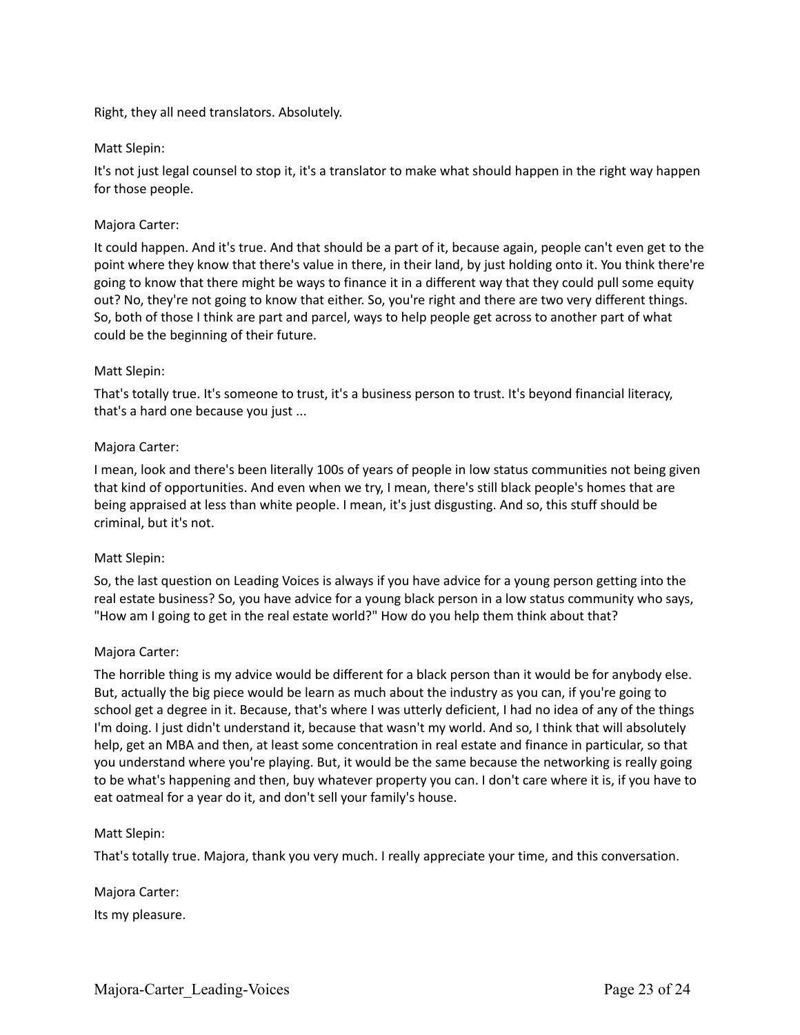Right, they all need translators. Absolutely.

### Matt Slepin:

It's not just legal counsel to stop it, it's a translator to make what should happen in the right way happen for those people.

### Majora Carter:

It could happen. And it's true. And that should be a part of it, because again, people can't even get to the point where they know that there's value in there, in their land, by just holding onto it. You think there're going to know that there might be ways to finance it in a different way that they could pull some equity out? No, they're not going to know that either. So, you're right and there are two very different things. So, both of those I think are part and parcel, ways to help people get across to another part of what could be the beginning of their future.

### Matt Slepin:

That's totally true. It's someone to trust, it's a business person to trust. It's beyond financial literacy, that's a hard one because you just ...

### Majora Carter:

I mean, look and there's been literally 100s of years of people in low status communities not being given that kind of opportunities. And even when we try, I mean, there's still black people's homes that are being appraised at less than white people. I mean, it's just disgusting. And so, this stuff should be criminal, but it's not.

### Matt Slepin:

So, the last question on Leading Voices is always if you have advice for a young person getting into the real estate business? So, you have advice for a young black person in a low status community who says, "How am I going to get in the real estate world?" How do you help them think about that?

### Majora Carter:

The horrible thing is my advice would be different for a black person than it would be for anybody else. But, actually the big piece would be learn as much about the industry as you can, if you're going to school get a degree in it. Because, that's where I was utterly deficient, I had no idea of any of the things I'm doing. I just didn't understand it, because that wasn't my world. And so, I think that will absolutely help, get an MBA and then, at least some concentration in real estate and finance in particular, so that you understand where you're playing. But, it would be the same because the networking is really going to be what's happening and then, buy whatever property you can. I don't care where it is, if you have to eat oatmeal for a year do it, and don't sell your family's house.

### Matt Slepin:

That's totally true. Majora, thank you very much. I really appreciate your time, and this conversation.

Majora Carter: Its my pleasure.